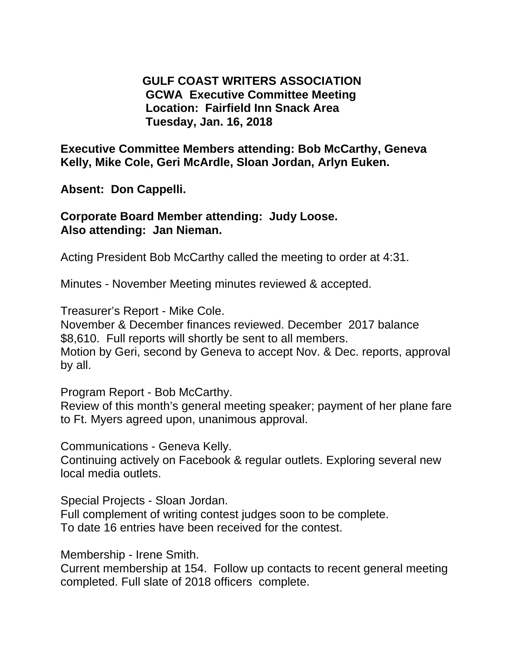**GULF COAST WRITERS ASSOCIATION GCWA Executive Committee Meeting Location: Fairfield Inn Snack Area Tuesday, Jan. 16, 2018** 

**Executive Committee Members attending: Bob McCarthy, Geneva Kelly, Mike Cole, Geri McArdle, Sloan Jordan, Arlyn Euken.** 

**Absent: Don Cappelli.** 

**Corporate Board Member attending: Judy Loose. Also attending: Jan Nieman.** 

Acting President Bob McCarthy called the meeting to order at 4:31.

Minutes - November Meeting minutes reviewed & accepted.

Treasurer's Report - Mike Cole.

November & December finances reviewed. December 2017 balance \$8,610. Full reports will shortly be sent to all members.

Motion by Geri, second by Geneva to accept Nov. & Dec. reports, approval by all.

Program Report - Bob McCarthy.

Review of this month's general meeting speaker; payment of her plane fare to Ft. Myers agreed upon, unanimous approval.

Communications - Geneva Kelly.

Continuing actively on Facebook & regular outlets. Exploring several new local media outlets.

Special Projects - Sloan Jordan.

Full complement of writing contest judges soon to be complete. To date 16 entries have been received for the contest.

Membership - Irene Smith.

Current membership at 154. Follow up contacts to recent general meeting completed. Full slate of 2018 officers complete.